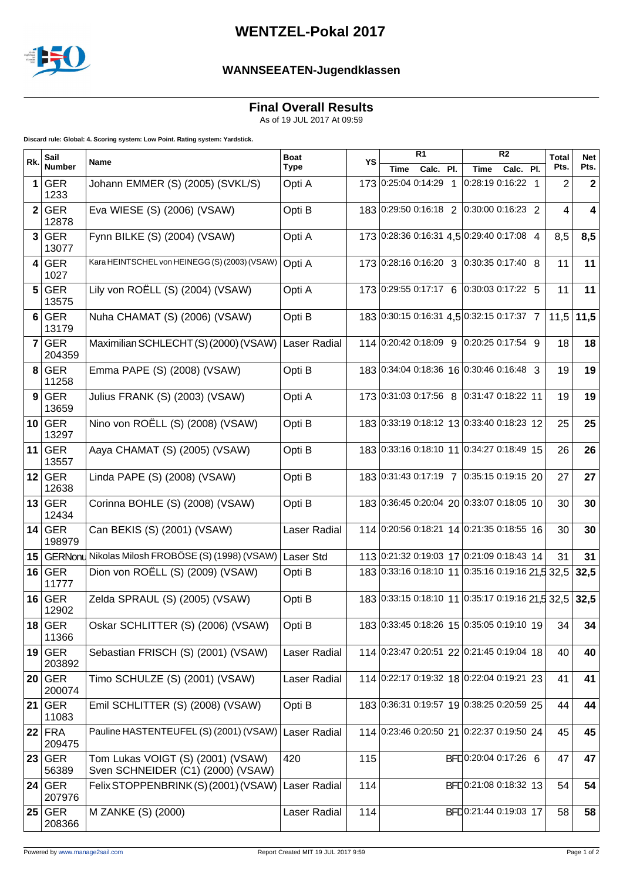

## **WENTZEL-Pokal 2017**

## **WANNSEEATEN-Jugendklassen**

**Final Overall Results**

As of 19 JUL 2017 At 09:59

**Discard rule: Global: 4. Scoring system: Low Point. Rating system: Yardstick.**

| Rk.            | Sail<br><b>Number</b> | Name                                                                   | <b>Boat</b><br><b>Type</b> | YS  | R <sub>1</sub>                                   |  |             | R <sub>2</sub>         | <b>Total</b> | <b>Net</b>   |
|----------------|-----------------------|------------------------------------------------------------------------|----------------------------|-----|--------------------------------------------------|--|-------------|------------------------|--------------|--------------|
|                |                       |                                                                        |                            |     | Calc. Pl.<br>Time                                |  | <b>Time</b> | Calc. Pl.              | Pts.         | Pts.         |
| 1              | <b>GER</b><br>1233    | Johann EMMER (S) (2005) (SVKL/S)                                       | Opti A                     |     | 173 0:25:04 0:14:29 1                            |  |             | 0:28:19 0:16:22 1      | 2            | $\mathbf{2}$ |
|                | 2 GER<br>12878        | Eva WIESE (S) (2006) (VSAW)                                            | Opti B                     |     | 183 0:29:50 0:16:18 2 0:30:00 0:16:23 2          |  |             |                        | 4            | 4            |
|                | 3 GER<br>13077        | Fynn BILKE (S) (2004) (VSAW)                                           | Opti A                     |     | 173 0:28:36 0:16:31 4,5 0:29:40 0:17:08 4        |  |             |                        | 8,5          | 8,5          |
|                | 4 GER<br>1027         | Kara HEINTSCHEL von HEINEGG (S) (2003) (VSAW)                          | Opti A                     |     | 173 0:28:16 0:16:20 3 0:30:35 0:17:40 8          |  |             |                        | 11           | 11           |
|                | 5 GER<br>13575        | Lily von ROËLL (S) (2004) (VSAW)                                       | Opti A                     |     | 173 0:29:55 0:17:17 6 0:30:03 0:17:22 5          |  |             |                        | 11           | 11           |
|                | 6 GER<br>13179        | Nuha CHAMAT (S) (2006) (VSAW)                                          | Opti B                     |     | 183 0:30:15 0:16:31 4,5 0:32:15 0:17:37 7        |  |             |                        | 11,5         | 11,5         |
| $\overline{7}$ | <b>GER</b><br>204359  | Maximilian SCHLECHT(S)(2000)(VSAW)                                     | Laser Radial               |     | 114 0:20:42 0:18:09 9 0:20:25 0:17:54 9          |  |             |                        | 18           | 18           |
|                | $8$ GER<br>11258      | Emma PAPE (S) (2008) (VSAW)                                            | Opti B                     |     | 183 0:34:04 0:18:36 16 0:30:46 0:16:48 3         |  |             |                        | 19           | 19           |
|                | 9 GER<br>13659        | Julius FRANK (S) (2003) (VSAW)                                         | Opti A                     |     | 173 0:31:03 0:17:56 8 0:31:47 0:18:22 11         |  |             |                        | 19           | 19           |
|                | $10$ GER<br>13297     | Nino von ROËLL (S) (2008) (VSAW)                                       | Opti B                     |     | 183 0:33:19 0:18:12 13 0:33:40 0:18:23 12        |  |             |                        | 25           | 25           |
|                | $11$ GER<br>13557     | Aaya CHAMAT (S) (2005) (VSAW)                                          | Opti B                     |     | 183 0:33:16 0:18:10 11 0:34:27 0:18:49 15        |  |             |                        | 26           | 26           |
|                | $12$ GER<br>12638     | Linda PAPE (S) (2008) (VSAW)                                           | Opti B                     |     | 183 0:31:43 0:17:19 7 0:35:15 0:19:15 20         |  |             |                        | 27           | 27           |
|                | $13$ GER<br>12434     | Corinna BOHLE (S) (2008) (VSAW)                                        | Opti B                     |     | 183 0:36:45 0:20:04 20 0:33:07 0:18:05 10        |  |             |                        | 30           | 30           |
|                | $14$ GER<br>198979    | Can BEKIS (S) (2001) (VSAW)                                            | Laser Radial               |     | 114 0:20:56 0:18:21 14 0:21:35 0:18:55 16        |  |             |                        | 30           | 30           |
|                |                       | 15 GERNonu Nikolas Milosh FROBÖSE (S) (1998) (VSAW)                    | Laser Std                  |     | 113 0:21:32 0:19:03 17 0:21:09 0:18:43 14        |  |             |                        | 31           | 31           |
|                | $16$ GER<br>11777     | Dion von ROËLL (S) (2009) (VSAW)                                       | Opti B                     |     | 183 0:33:16 0:18:10 11 0:35:16 0:19:16 21.5 32.5 |  |             |                        |              | 32,5         |
|                | $16$ GER<br>12902     | Zelda SPRAUL (S) (2005) (VSAW)                                         | Opti B                     |     | 183 0:33:15 0:18:10 11 0:35:17 0:19:16 21,5 32,5 |  |             |                        |              | 32,5         |
|                | $18$ GER<br>11366     | Oskar SCHLITTER (S) (2006) (VSAW)                                      | Opti B                     |     | 183 0:33:45 0:18:26 15 0:35:05 0:19:10 19        |  |             |                        | 34           | 34           |
|                | $19$ GER<br>203892    | Sebastian FRISCH (S) (2001) (VSAW)                                     | Laser Radial               |     | 114 0:23:47 0:20:51 22 0:21:45 0:19:04 18        |  |             |                        | 40           | 40           |
|                | $20$ GER<br>200074    | Timo SCHULZE (S) (2001) (VSAW)                                         | Laser Radial               |     | 114 0:22:17 0:19:32 18 0:22:04 0:19:21 23        |  |             |                        | 41           | 41           |
|                | $21$ GER<br>11083     | Emil SCHLITTER (S) (2008) (VSAW)                                       | Opti B                     |     | 183 0:36:31 0:19:57 19 0:38:25 0:20:59 25        |  |             |                        | 44           | 44           |
|                | $22$ FRA<br>209475    | Pauline HASTENTEUFEL (S) (2001) (VSAW)                                 | Laser Radial               |     | 114 0:23:46 0:20:50 21 0:22:37 0:19:50 24        |  |             |                        | 45           | 45           |
|                | $23$ GER<br>56389     | Tom Lukas VOIGT (S) (2001) (VSAW)<br>Sven SCHNEIDER (C1) (2000) (VSAW) | 420                        | 115 |                                                  |  |             | BFD0:20:04 0:17:26 6   | 47           | 47           |
|                | 24 GER<br>207976      | Felix STOPPENBRINK (S) (2001) (VSAW)                                   | Laser Radial               | 114 |                                                  |  |             | BFL 0:21:08 0:18:32 13 | 54           | 54           |
|                | $25$ GER<br>208366    | M ZANKE (S) (2000)                                                     | Laser Radial               | 114 |                                                  |  |             | BFL0:21:44 0:19:03 17  | 58           | 58           |